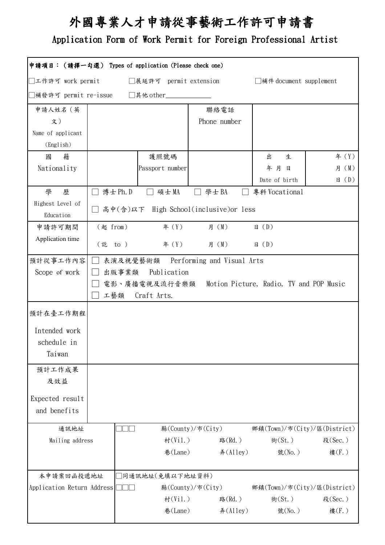# 外國專業人才申請從事藝術工作許可申請書

### Application Form of Work Permit for Foreign Professional Artist

| 申請項目: (請擇一勾選) Types of application (Please check one)                  |            |                    |                                                       |                              |                  |  |  |
|------------------------------------------------------------------------|------------|--------------------|-------------------------------------------------------|------------------------------|------------------|--|--|
| □工作許可 work permit<br>□展延許可 permit extension<br>□補件 document supplement |            |                    |                                                       |                              |                  |  |  |
| ]補發許可 permit re-issue<br>□其他 other_                                    |            |                    |                                                       |                              |                  |  |  |
| 申請人姓名(英                                                                |            |                    | 聯絡電話                                                  |                              |                  |  |  |
| 文)                                                                     |            |                    | Phone number                                          |                              |                  |  |  |
| Name of applicant                                                      |            |                    |                                                       |                              |                  |  |  |
| (English)                                                              |            |                    |                                                       |                              |                  |  |  |
| 籍<br>國                                                                 |            | 護照號碼               |                                                       | 出<br>生                       | 年 (Y)            |  |  |
| Nationality                                                            |            | Passport number    |                                                       | 年月日                          | 月 (M)            |  |  |
|                                                                        |            |                    |                                                       | Date of birth                | $\boxminus$ (D)  |  |  |
| 學<br>歷<br>Highest Level of                                             | □ 博士 Ph. D | □ 碩士MA             | □ 學士BA                                                | 專科 Vocational                |                  |  |  |
| Education                                                              |            |                    | □ 高中(含)以下 High School(inclusive)or less               |                              |                  |  |  |
| 申請許可期間                                                                 | (起 from)   |                    | 年 (Y)    月 (M)                                        | $\boxminus$ (D)              |                  |  |  |
| Application time                                                       | (訖 to )    |                    | 年 (Y)    月 (M)                                        | $\boxplus$ (D)               |                  |  |  |
| 預計從事工作內容                                                               | $\Box$     |                    | 表演及視覺藝術類 Performing and Visual Arts                   |                              |                  |  |  |
| Scope of work                                                          | 出版事業類      | Publication        |                                                       |                              |                  |  |  |
|                                                                        |            |                    | 電影、廣播電視及流行音樂類 Motion Picture, Radio, TV and POP Music |                              |                  |  |  |
|                                                                        |            | 工藝類 Craft Arts.    |                                                       |                              |                  |  |  |
| 預計在臺工作期程                                                               |            |                    |                                                       |                              |                  |  |  |
| Intended work                                                          |            |                    |                                                       |                              |                  |  |  |
| schedule in                                                            |            |                    |                                                       |                              |                  |  |  |
| Taiwan                                                                 |            |                    |                                                       |                              |                  |  |  |
| 預計工作成果                                                                 |            |                    |                                                       |                              |                  |  |  |
| 及效益                                                                    |            |                    |                                                       |                              |                  |  |  |
| Expected result                                                        |            |                    |                                                       |                              |                  |  |  |
| and benefits                                                           |            |                    |                                                       |                              |                  |  |  |
|                                                                        |            |                    |                                                       |                              |                  |  |  |
| 通訊地址                                                                   |            |                    | 縣(County)/市(City)                                     | 鄉鎮(Town)/市(City)/區(District) |                  |  |  |
| Mailing address                                                        |            | 村(Vil.)<br>巷(Lane) | 路(Rd.)<br>弄(Alley)                                    | 街(St.)<br>號(No.)             | 段(Sec.)<br>樓(F.) |  |  |
|                                                                        |            |                    |                                                       |                              |                  |  |  |
| 本申請案回函投遞地址                                                             |            | □同通訊地址(免填以下地址資料)   |                                                       |                              |                  |  |  |
| Application Return Address                                             |            |                    | 縣(County)/市(City)                                     | 鄉鎮(Town)/市(City)/區(District) |                  |  |  |
|                                                                        |            | 村(Vil.)            | 路(Rd.)                                                | 街(St.)                       | 段(Sec.)          |  |  |
|                                                                        |            | 巷(Lane)            | 弄(Alley)                                              | 號(No.)                       | 樓(F.)            |  |  |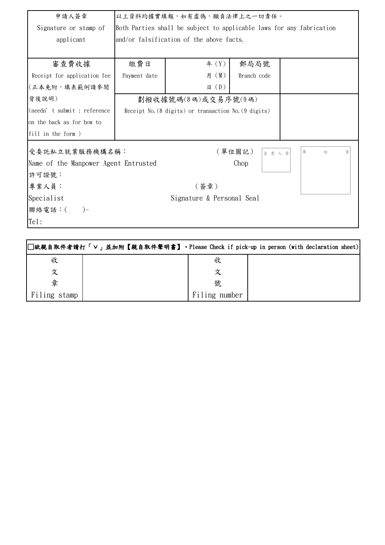| 申請人簽章                                           | 以上資料均據實填報,如有虛偽,願負法律上之一切責任。                                               |                           |                |             |  |
|-------------------------------------------------|--------------------------------------------------------------------------|---------------------------|----------------|-------------|--|
| Signature or stamp of                           | Both Parties shall be subject to applicable laws for any fabrication     |                           |                |             |  |
| applicant                                       | and/or falsification of the above facts.                                 |                           |                |             |  |
|                                                 |                                                                          |                           |                |             |  |
| 審查費收據                                           | 繳費日                                                                      | 年 $(Y)$                   | 郵局局號           |             |  |
| Receipt for application fee                     | Payment date                                                             | 月 (M)                     | Branch code    |             |  |
| (正本免附,填表範例請參閱                                   |                                                                          | $\boxplus$ (D)            |                |             |  |
| 背後說明)                                           | 劃撥收據號碼(8碼)或交易序號(9碼)                                                      |                           |                |             |  |
| (needn't submit; reference                      | Receipt No. $(8 \text{ digits})$ or transaction No. $(9 \text{ digits})$ |                           |                |             |  |
| on the back as for how to                       |                                                                          |                           |                |             |  |
| $\left  \text{fill in the form } \right\rangle$ |                                                                          |                           |                |             |  |
| 受委託私立就業服務機構名稱:                                  |                                                                          |                           | (單位圖記)<br>負責人章 | 位<br>單<br>휼 |  |
| Name of the Manpower Agent Entrusted            |                                                                          |                           | Chop           |             |  |
| 許可證號:                                           |                                                                          |                           |                |             |  |
| 專業人員:                                           |                                                                          | (簽章)                      |                |             |  |
| Specialist                                      |                                                                          | Signature & Personal Seal |                |             |  |
| 聯絡電話:(<br>$) -$                                 |                                                                          |                           |                |             |  |
| Tel:                                            |                                                                          |                           |                |             |  |
|                                                 |                                                                          |                           |                |             |  |

|              |               | □欲親自取件者請打「∨」並加附【親自取件聲明書】。Please Check if pick-up in person (with declaration sheet) |
|--------------|---------------|-------------------------------------------------------------------------------------|
| 收            | 收             |                                                                                     |
| 文            |               |                                                                                     |
| 章            | 號             |                                                                                     |
| Filing stamp | Filing number |                                                                                     |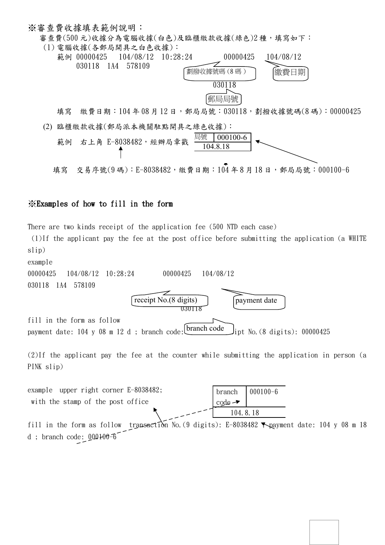#### ※審查費收據填表範例說明:

審查費(500元)收據分為電腦收據(白色)及臨櫃繳款收據(綠色)2種,填寫如下: (1) 電腦收據(各郵局開具之白色收據):



填寫 繳費日期: 104年08月12日,郵局局號: 030118,劃撥收據號碼(8碼): 00000425 (2) 臨櫃繳款收據(郵局派本機關駐點開具之綠色收據):



填寫 交易序號(9碼): E-8038482,繳費日期: 104 年 8 月 18 日,郵局局號: 000100-6

### ※Examples of how to fill in the form

There are two kinds receipt of the application fee (500 NTD each case)

(1)If the applicant pay the fee at the post office before submitting the application (a WHITE slip) example

00000425 104/08/12 10:28:24 00000425 104/08/12 030118 1A4 578109 030118 fill in the form as follow payment date: 104 y 08 m 12 d; branch code:  $\text{branch code}$   $\text{load}$  ipt No. (8 digits): 00000425 receipt No.(8 digits) branch code payment date

(2)If the applicant pay the fee at the counter while submitting the application in person (a PINK slip)

| example upper right corner E-8038482; |                              | $^{\prime}$ branch $\left[ 000100-6 \right]$ |
|---------------------------------------|------------------------------|----------------------------------------------|
| with the stamp of the post office     | $code - \blacktriangleright$ |                                              |
|                                       | 104. 8. 18                   |                                              |
|                                       |                              |                                              |

fill in the form as follow transaction No. (9 digits): E-8038482 Neayment date: 104 y 08 m 18 d ; branch code: 000100-6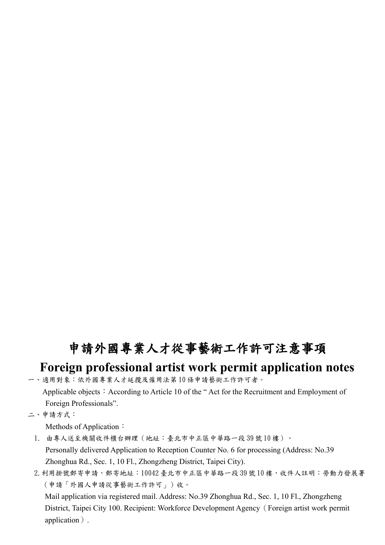## 申請外國專業人才從事藝術工作許可注意事項

### **Foreign professional artist work permit application notes**

一、適用對象:依外國專業人才延攬及僱用法第 10 條申請藝術工作許可者。

Applicable objects: According to Article 10 of the "Act for the Recruitment and Employment of Foreign Professionals".

二、申請方式:

Methods of Application:

1. 由專人送至機關收件櫃台辦理(地址:臺北市中正區中華路一段 39 號 10 樓)。 Personally delivered Application to Reception Counter No. 6 for processing (Address: No.39 Zhonghua Rd., Sec. 1, 10 Fl., Zhongzheng District, Taipei City).

2. 利用掛號郵寄申請,郵寄地址:10042 臺北市中正區中華路一段39號10樓,收件人註明:勞動力發展署 (申請「外國人申請從事藝術工作許可」)收。

 Mail application via registered mail. Address: No.39 Zhonghua Rd., Sec. 1, 10 Fl., Zhongzheng District, Taipei City 100. Recipient: Workforce Development Agency(Foreign artist work permit application).